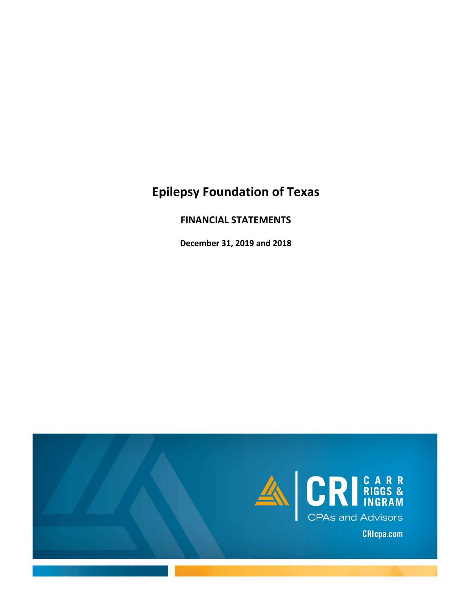# **Epilepsy Foundation of Texas**

**FINANCIAL STATEMENTS** 

**December 31, 2019 and 2018** 

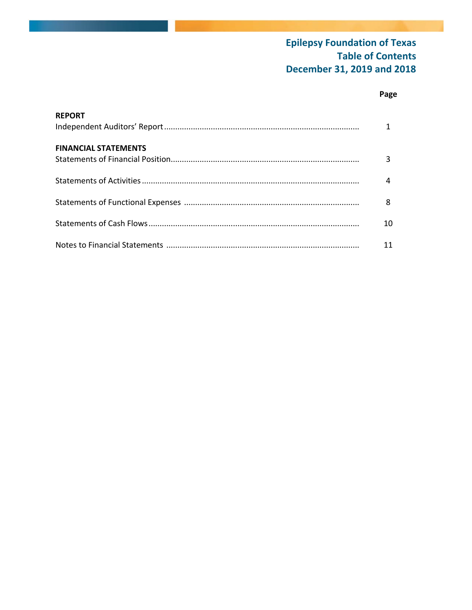# **Epilepsy Foundation of Texas Table of Contents December 31, 2019 and 2018**

#### **Page**

| <b>REPORT</b>               |    |
|-----------------------------|----|
| <b>FINANCIAL STATEMENTS</b> | 3  |
|                             | 4  |
|                             | 8  |
|                             | 10 |
|                             | 11 |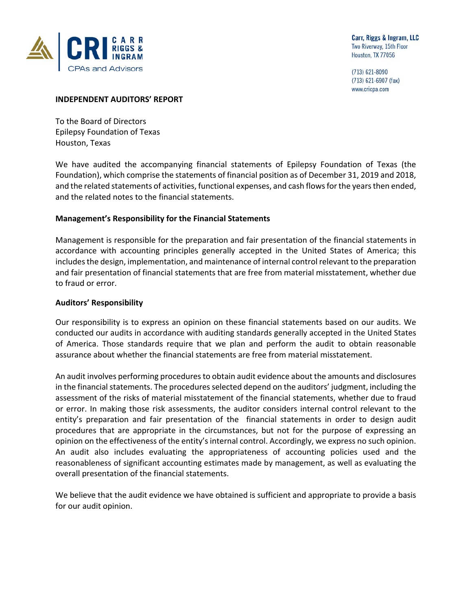

Carr, Riggs & Ingram, LLC Two Riverway, 15th Floor Houston, TX 77056

 $(713) 621 - 8090$  $(713) 621-6907$  (fax) www.cricpa.com

#### **INDEPENDENT AUDITORS' REPORT**

To the Board of Directors Epilepsy Foundation of Texas Houston, Texas

We have audited the accompanying financial statements of Epilepsy Foundation of Texas (the Foundation), which comprise the statements of financial position as of December 31, 2019 and 2018, and the related statements of activities, functional expenses, and cash flows for the years then ended, and the related notes to the financial statements.

### **Management's Responsibility for the Financial Statements**

Management is responsible for the preparation and fair presentation of the financial statements in accordance with accounting principles generally accepted in the United States of America; this includes the design, implementation, and maintenance of internal control relevant to the preparation and fair presentation of financial statements that are free from material misstatement, whether due to fraud or error.

### **Auditors' Responsibility**

Our responsibility is to express an opinion on these financial statements based on our audits. We conducted our audits in accordance with auditing standards generally accepted in the United States of America. Those standards require that we plan and perform the audit to obtain reasonable assurance about whether the financial statements are free from material misstatement.

An audit involves performing procedures to obtain audit evidence about the amounts and disclosures in the financial statements. The procedures selected depend on the auditors' judgment, including the assessment of the risks of material misstatement of the financial statements, whether due to fraud or error. In making those risk assessments, the auditor considers internal control relevant to the entity's preparation and fair presentation of the financial statements in order to design audit procedures that are appropriate in the circumstances, but not for the purpose of expressing an opinion on the effectiveness of the entity's internal control. Accordingly, we express no such opinion. An audit also includes evaluating the appropriateness of accounting policies used and the reasonableness of significant accounting estimates made by management, as well as evaluating the overall presentation of the financial statements.

We believe that the audit evidence we have obtained is sufficient and appropriate to provide a basis for our audit opinion.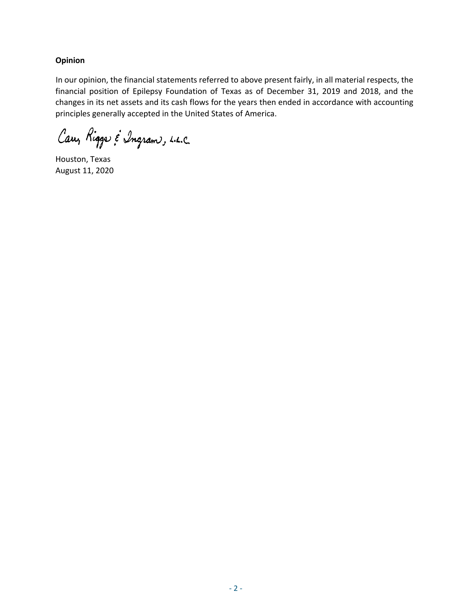#### **Opinion**

In our opinion, the financial statements referred to above present fairly, in all material respects, the financial position of Epilepsy Foundation of Texas as of December 31, 2019 and 2018, and the changes in its net assets and its cash flows for the years then ended in accordance with accounting principles generally accepted in the United States of America.

Cary Rigge & Ingram, L.L.C.

Houston, Texas August 11, 2020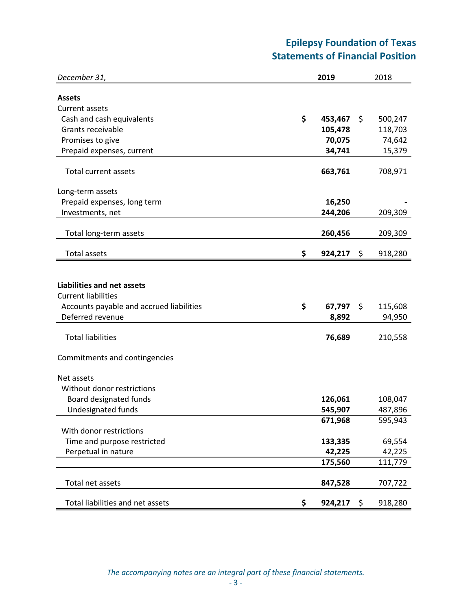# **Epilepsy Foundation of Texas Statements of Financial Position**

| December 31,                             | 2019          |     | 2018    |
|------------------------------------------|---------------|-----|---------|
|                                          |               |     |         |
| <b>Assets</b>                            |               |     |         |
| Current assets                           |               |     |         |
| Cash and cash equivalents                | \$<br>453,467 | \$  | 500,247 |
| Grants receivable                        | 105,478       |     | 118,703 |
| Promises to give                         | 70,075        |     | 74,642  |
| Prepaid expenses, current                | 34,741        |     | 15,379  |
| <b>Total current assets</b>              | 663,761       |     | 708,971 |
| Long-term assets                         |               |     |         |
| Prepaid expenses, long term              | 16,250        |     |         |
| Investments, net                         | 244,206       |     | 209,309 |
|                                          |               |     |         |
| Total long-term assets                   | 260,456       |     | 209,309 |
|                                          |               |     |         |
| <b>Total assets</b>                      | \$<br>924,217 | \$  | 918,280 |
|                                          |               |     |         |
| Liabilities and net assets               |               |     |         |
| <b>Current liabilities</b>               |               |     |         |
| Accounts payable and accrued liabilities | \$<br>67,797  | \$. | 115,608 |
| Deferred revenue                         | 8,892         |     | 94,950  |
| <b>Total liabilities</b>                 | 76,689        |     | 210,558 |
| Commitments and contingencies            |               |     |         |
| Net assets                               |               |     |         |
| Without donor restrictions               |               |     |         |
| Board designated funds                   | 126,061       |     | 108,047 |
| Undesignated funds                       | 545,907       |     | 487,896 |
|                                          | 671,968       |     | 595,943 |
| With donor restrictions                  |               |     |         |
| Time and purpose restricted              | 133,335       |     | 69,554  |
| Perpetual in nature                      | 42,225        |     | 42,225  |
|                                          | 175,560       |     | 111,779 |
|                                          |               |     |         |
| Total net assets                         | 847,528       |     | 707,722 |
| Total liabilities and net assets         | \$<br>924,217 | \$  | 918,280 |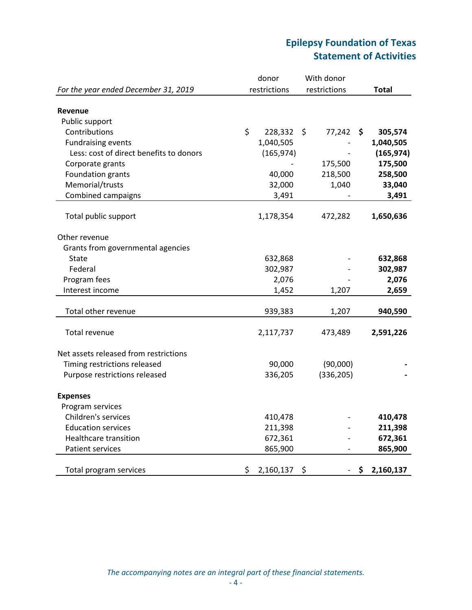# **Epilepsy Foundation of Texas Statement of Activities**

|                                         | donor           | With donor    |     |            |
|-----------------------------------------|-----------------|---------------|-----|------------|
| For the year ended December 31, 2019    | restrictions    | restrictions  |     | Total      |
|                                         |                 |               |     |            |
| Revenue                                 |                 |               |     |            |
| Public support                          |                 |               |     |            |
| Contributions                           | \$<br>228,332   | -\$<br>77,242 | -\$ | 305,574    |
| <b>Fundraising events</b>               | 1,040,505       |               |     | 1,040,505  |
| Less: cost of direct benefits to donors | (165, 974)      |               |     | (165, 974) |
| Corporate grants                        |                 | 175,500       |     | 175,500    |
| Foundation grants                       | 40,000          | 218,500       |     | 258,500    |
| Memorial/trusts                         | 32,000          | 1,040         |     | 33,040     |
| <b>Combined campaigns</b>               | 3,491           |               |     | 3,491      |
|                                         |                 |               |     |            |
| Total public support                    | 1,178,354       | 472,282       |     | 1,650,636  |
| Other revenue                           |                 |               |     |            |
| Grants from governmental agencies       |                 |               |     |            |
| State                                   | 632,868         |               |     | 632,868    |
| Federal                                 | 302,987         |               |     | 302,987    |
| Program fees                            | 2,076           |               |     | 2,076      |
| Interest income                         | 1,452           | 1,207         |     | 2,659      |
|                                         |                 |               |     |            |
| Total other revenue                     | 939,383         | 1,207         |     | 940,590    |
| Total revenue                           | 2,117,737       | 473,489       |     | 2,591,226  |
|                                         |                 |               |     |            |
| Net assets released from restrictions   |                 |               |     |            |
| Timing restrictions released            | 90,000          | (90,000)      |     |            |
| Purpose restrictions released           | 336,205         | (336, 205)    |     |            |
| <b>Expenses</b>                         |                 |               |     |            |
| Program services                        |                 |               |     |            |
| Children's services                     | 410,478         |               |     | 410,478    |
| <b>Education services</b>               | 211,398         |               |     | 211,398    |
| <b>Healthcare transition</b>            | 672,361         |               |     | 672,361    |
| <b>Patient services</b>                 | 865,900         |               |     | 865,900    |
|                                         |                 |               |     |            |
| Total program services                  | \$<br>2,160,137 | \$            | \$  | 2,160,137  |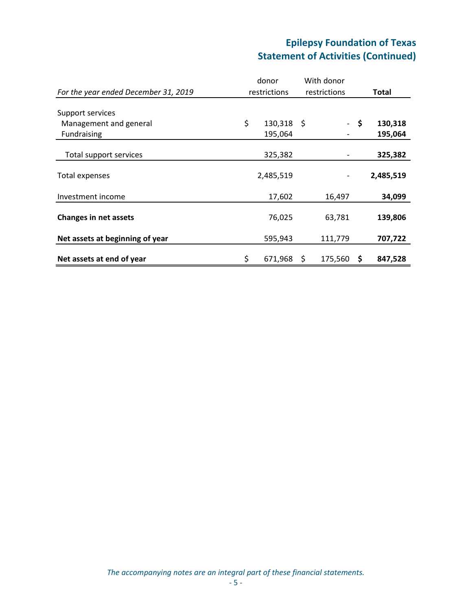# **Epilepsy Foundation of Texas Statement of Activities (Continued)**

|                                      | donor        |            |              | With donor |               |
|--------------------------------------|--------------|------------|--------------|------------|---------------|
| For the year ended December 31, 2019 | restrictions |            | restrictions |            | <b>Total</b>  |
|                                      |              |            |              |            |               |
| Support services                     |              |            |              |            |               |
| Management and general               | \$           | 130,318 \$ |              |            | \$<br>130,318 |
| Fundraising                          |              | 195,064    |              |            | 195,064       |
|                                      |              |            |              |            |               |
| Total support services               |              | 325,382    |              |            | 325,382       |
|                                      |              |            |              |            |               |
| Total expenses                       |              | 2,485,519  |              |            | 2,485,519     |
|                                      |              |            |              |            |               |
| Investment income                    |              | 17,602     |              | 16,497     | 34,099        |
|                                      |              |            |              |            |               |
| <b>Changes in net assets</b>         |              | 76,025     |              | 63,781     | 139,806       |
|                                      |              |            |              |            |               |
| Net assets at beginning of year      |              | 595,943    |              | 111,779    | 707,722       |
|                                      |              |            |              |            |               |
| Net assets at end of year            | \$           | 671,968    | -\$          | 175,560    | \$<br>847,528 |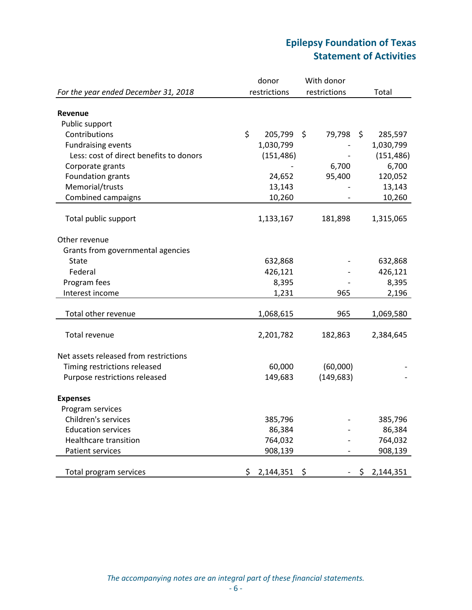# **Epilepsy Foundation of Texas Statement of Activities**

|                                         | donor           | With donor   |                 |
|-----------------------------------------|-----------------|--------------|-----------------|
| For the year ended December 31, 2018    | restrictions    | restrictions | Total           |
|                                         |                 |              |                 |
| Revenue                                 |                 |              |                 |
| Public support                          |                 |              |                 |
| Contributions                           | \$<br>205,799   | \$<br>79,798 | \$<br>285,597   |
| <b>Fundraising events</b>               | 1,030,799       |              | 1,030,799       |
| Less: cost of direct benefits to donors | (151, 486)      |              | (151, 486)      |
| Corporate grants                        |                 | 6,700        | 6,700           |
| Foundation grants                       | 24,652          | 95,400       | 120,052         |
| Memorial/trusts                         | 13,143          |              | 13,143          |
| Combined campaigns                      | 10,260          |              | 10,260          |
| Total public support                    | 1,133,167       | 181,898      | 1,315,065       |
|                                         |                 |              |                 |
| Other revenue                           |                 |              |                 |
| Grants from governmental agencies       |                 |              |                 |
| <b>State</b>                            | 632,868         |              | 632,868         |
| Federal                                 | 426,121         |              | 426,121         |
| Program fees                            | 8,395           |              | 8,395           |
| Interest income                         | 1,231           | 965          | 2,196           |
|                                         |                 |              |                 |
| Total other revenue                     | 1,068,615       | 965          | 1,069,580       |
| Total revenue                           | 2,201,782       | 182,863      | 2,384,645       |
| Net assets released from restrictions   |                 |              |                 |
| Timing restrictions released            | 60,000          | (60,000)     |                 |
| Purpose restrictions released           | 149,683         | (149, 683)   |                 |
|                                         |                 |              |                 |
| <b>Expenses</b>                         |                 |              |                 |
| Program services                        |                 |              |                 |
| Children's services                     | 385,796         |              | 385,796         |
| <b>Education services</b>               | 86,384          |              | 86,384          |
| <b>Healthcare transition</b>            | 764,032         |              | 764,032         |
| Patient services                        | 908,139         |              | 908,139         |
|                                         |                 |              |                 |
| Total program services                  | \$<br>2,144,351 | \$           | \$<br>2,144,351 |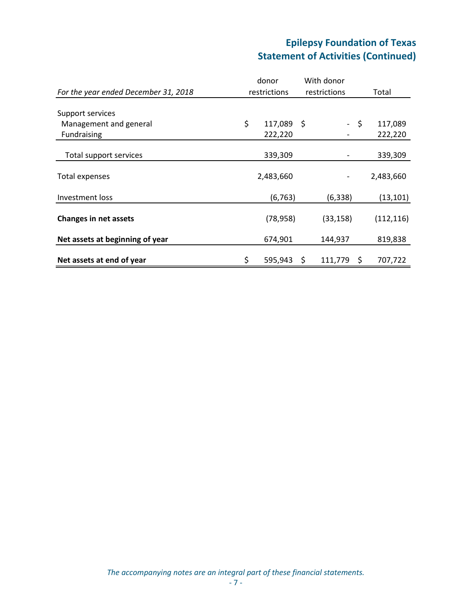# **Epilepsy Foundation of Texas Statement of Activities (Continued)**

|                                      | donor        |           |                | With donor      |       |            |
|--------------------------------------|--------------|-----------|----------------|-----------------|-------|------------|
| For the year ended December 31, 2018 | restrictions |           | restrictions   |                 | Total |            |
|                                      |              |           |                |                 |       |            |
| Support services                     |              |           |                |                 |       |            |
| Management and general               | \$           | 117,089   | - \$           | - \$            |       | 117,089    |
| <b>Fundraising</b>                   |              | 222,220   |                |                 |       | 222,220    |
|                                      |              |           |                |                 |       |            |
| Total support services               |              | 339,309   |                |                 |       | 339,309    |
|                                      |              |           |                |                 |       |            |
| Total expenses                       |              | 2,483,660 |                |                 |       | 2,483,660  |
|                                      |              |           |                |                 |       |            |
| Investment loss                      |              | (6, 763)  |                | (6, 338)        |       | (13, 101)  |
|                                      |              |           |                |                 |       |            |
| <b>Changes in net assets</b>         |              | (78, 958) |                | (33, 158)       |       | (112, 116) |
| Net assets at beginning of year      |              | 674,901   |                | 144,937         |       | 819,838    |
|                                      |              |           |                |                 |       |            |
| Net assets at end of year            | \$           | 595,943   | $\ddot{\zeta}$ | 111,779<br>- \$ |       | 707,722    |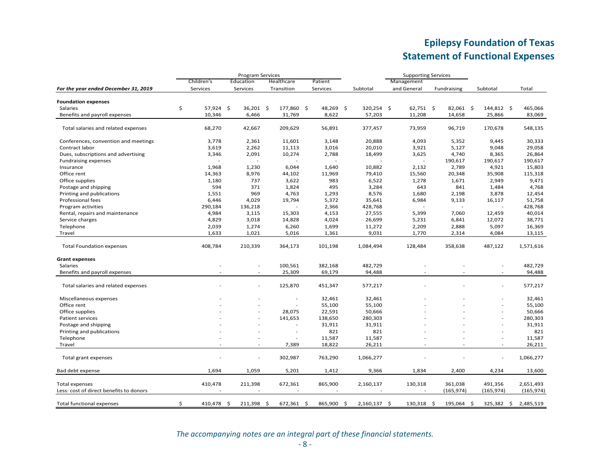# **Epilepsy Foundation of Texas Statement of Functional Expenses**

|                                                                  |    |            | <b>Program Services</b> |                          |              |            |              | <b>Supporting Services</b> |                       |          |                          |                         |
|------------------------------------------------------------------|----|------------|-------------------------|--------------------------|--------------|------------|--------------|----------------------------|-----------------------|----------|--------------------------|-------------------------|
|                                                                  |    | Children's | Education               |                          | Healthcare   | Patient    |              | Management                 |                       |          |                          |                         |
| For the year ended December 31, 2019                             |    | Services   | Services                |                          | Transition   | Services   | Subtotal     | and General                | Fundraising           | Subtotal |                          | Total                   |
| <b>Foundation expenses</b>                                       |    |            |                         |                          |              |            |              |                            |                       |          |                          |                         |
| Salaries                                                         | \$ | 57,924 \$  | $36,201$ \$             |                          | 177,860 \$   | 48,269 \$  | $320,254$ \$ | $62,751$ \$                | $82,061$ \$           |          | 144,812 \$               | 465,066                 |
| Benefits and payroll expenses                                    |    | 10,346     | 6,466                   |                          | 31,769       | 8,622      | 57,203       | 11,208                     | 14,658                |          | 25,866                   | 83,069                  |
|                                                                  |    |            |                         |                          |              |            |              |                            |                       |          |                          |                         |
| Total salaries and related expenses                              |    | 68,270     | 42,667                  |                          | 209,629      | 56,891     | 377,457      | 73,959                     | 96,719                |          | 170,678                  | 548,135                 |
| Conferences, convention and meetings                             |    | 3,778      | 2,361                   |                          | 11,601       | 3,148      | 20,888       | 4,093                      | 5,352                 |          | 9,445                    | 30,333                  |
| Contract labor                                                   |    | 3,619      | 2,262                   |                          | 11,113       | 3,016      | 20,010       | 3,921                      | 5,127                 |          | 9,048                    | 29,058                  |
| Dues, subscriptions and advertising                              |    | 3,346      | 2,091                   |                          | 10,274       | 2,788      | 18,499       | 3,625                      | 4,740                 |          | 8,365                    | 26,864                  |
| <b>Fundraising expenses</b>                                      |    |            |                         |                          |              |            |              |                            | 190,617               |          | 190,617                  | 190,617                 |
| Insurance                                                        |    | 1,968      | 1,230                   |                          | 6,044        | 1,640      | 10,882       | 2,132                      | 2,789                 |          | 4,921                    | 15,803                  |
| Office rent                                                      |    | 14,363     | 8,976                   |                          | 44,102       | 11,969     | 79,410       | 15,560                     | 20,348                |          | 35,908                   | 115,318                 |
| Office supplies                                                  |    | 1,180      | 737                     |                          | 3,622        | 983        | 6,522        | 1,278                      | 1,671                 |          | 2,949                    | 9,471                   |
| Postage and shipping                                             |    | 594        | 371                     |                          | 1,824        | 495        | 3,284        | 643                        | 841                   |          | 1,484                    | 4,768                   |
| Printing and publications                                        |    | 1,551      | 969                     |                          | 4,763        | 1,293      | 8,576        | 1,680                      | 2,198                 |          | 3,878                    | 12,454                  |
| Professional fees                                                |    | 6,446      | 4,029                   |                          | 19,794       | 5,372      | 35,641       | 6,984                      | 9,133                 |          | 16,117                   | 51,758                  |
| Program activities                                               |    | 290,184    | 136,218                 |                          |              | 2,366      | 428,768      |                            |                       |          |                          | 428,768                 |
| Rental, repairs and maintenance                                  |    | 4,984      | 3,115                   |                          | 15,303       | 4,153      | 27,555       | 5,399                      | 7,060                 |          | 12,459                   | 40,014                  |
| Service charges                                                  |    | 4,829      | 3,018                   |                          | 14,828       | 4,024      | 26,699       | 5,231                      | 6,841                 |          | 12,072                   | 38,771                  |
| Telephone                                                        |    | 2,039      | 1,274                   |                          | 6,260        | 1,699      | 11,272       | 2,209                      | 2,888                 |          | 5,097                    | 16,369                  |
| Travel                                                           |    | 1,633      | 1,021                   |                          | 5,016        | 1,361      | 9,031        | 1,770                      | 2,314                 |          | 4,084                    | 13,115                  |
|                                                                  |    |            |                         |                          |              |            |              |                            |                       |          |                          |                         |
| <b>Total Foundation expenses</b>                                 |    | 408,784    | 210,339                 |                          | 364,173      | 101,198    | 1,084,494    | 128,484                    | 358,638               |          | 487,122                  | 1,571,616               |
| <b>Grant expenses</b>                                            |    |            |                         |                          |              |            |              |                            |                       |          |                          |                         |
| Salaries                                                         |    |            |                         |                          | 100,561      | 382,168    | 482,729      |                            |                       |          |                          | 482,729                 |
| Benefits and payroll expenses                                    |    |            |                         | $\overline{\phantom{a}}$ | 25,309       | 69,179     | 94,488       |                            |                       |          | $\overline{a}$           | 94,488                  |
| Total salaries and related expenses                              |    |            |                         |                          | 125,870      | 451,347    | 577,217      |                            |                       |          | $\overline{\phantom{a}}$ | 577,217                 |
|                                                                  |    |            |                         |                          |              | 32,461     | 32,461       |                            |                       |          |                          | 32,461                  |
| Miscellaneous expenses<br>Office rent                            |    |            |                         |                          |              | 55,100     | 55,100       |                            |                       |          |                          | 55,100                  |
|                                                                  |    |            |                         |                          |              |            |              |                            |                       |          |                          |                         |
| Office supplies                                                  |    |            |                         |                          | 28,075       | 22,591     | 50,666       |                            |                       |          |                          | 50,666                  |
| Patient services                                                 |    |            |                         |                          | 141,653      | 138,650    | 280,303      |                            |                       |          |                          | 280,303                 |
| Postage and shipping                                             |    |            |                         |                          |              | 31,911     | 31,911       |                            |                       |          |                          | 31,911                  |
| Printing and publications                                        |    |            |                         |                          |              | 821        | 821          |                            |                       |          |                          | 821                     |
| Telephone                                                        |    |            |                         |                          |              | 11,587     | 11,587       |                            |                       |          | $\overline{a}$           | 11,587                  |
| Travel                                                           |    |            |                         |                          | 7,389        | 18,822     | 26,211       |                            |                       |          |                          | 26,211                  |
| Total grant expenses                                             |    |            |                         |                          | 302,987      | 763,290    | 1,066,277    |                            |                       |          |                          | 1,066,277               |
| Bad debt expense                                                 |    | 1,694      | 1,059                   |                          | 5,201        | 1,412      | 9,366        | 1,834                      | 2,400                 |          | 4,234                    | 13,600                  |
|                                                                  |    | 410,478    |                         |                          | 672,361      |            |              |                            |                       |          |                          |                         |
| <b>Total expenses</b><br>Less: cost of direct benefits to donors |    |            | 211,398                 |                          |              | 865,900    | 2,160,137    | 130,318                    | 361,038<br>(165, 974) |          | 491,356<br>(165, 974)    | 2,651,493<br>(165, 974) |
| Total functional expenses                                        | \$ | 410,478 \$ | $211,398$ \$            |                          | $672,361$ \$ | 865,900 \$ | 2,160,137 \$ | $130,318$ \$               | 195,064 \$            |          | 325,382 \$               | 2,485,519               |
|                                                                  |    |            |                         |                          |              |            |              |                            |                       |          |                          |                         |

*The accompanying notes are an integral part of these financial statements.*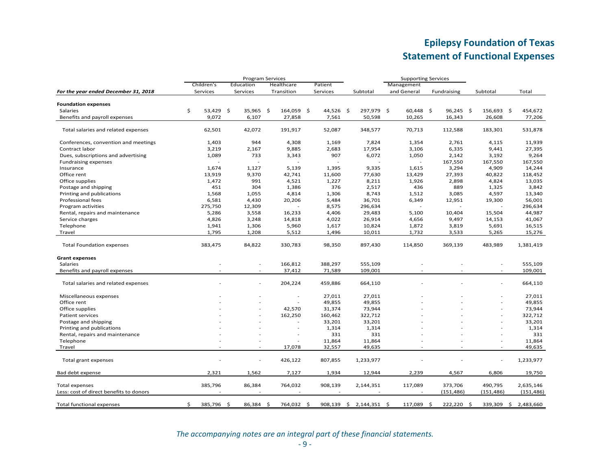# **Epilepsy Foundation of Texas Statement of Functional Expenses**

|                                         |                 |                          | <b>Program Services</b> |           |                 |             | <b>Supporting Services</b> |                 |                 |
|-----------------------------------------|-----------------|--------------------------|-------------------------|-----------|-----------------|-------------|----------------------------|-----------------|-----------------|
|                                         | Children's      | Education                | Healthcare              | Patient   |                 | Management  |                            |                 |                 |
| For the year ended December 31, 2018    | Services        | Services                 | Transition              | Services  | Subtotal        | and General | Fundraising                | Subtotal        | Total           |
| <b>Foundation expenses</b>              |                 |                          |                         |           |                 |             |                            |                 |                 |
| Salaries                                | \$<br>53,429 \$ | 35,965 \$                | 164,059 \$              | 44,526 \$ | 297,979 \$      | $60,448$ \$ | $96,245$ \$                | 156,693 \$      | 454,672         |
|                                         | 9,072           | 6,107                    |                         |           |                 |             |                            |                 |                 |
| Benefits and payroll expenses           |                 |                          | 27,858                  | 7,561     | 50,598          | 10,265      | 16,343                     | 26,608          | 77,206          |
| Total salaries and related expenses     | 62,501          | 42,072                   | 191,917                 | 52,087    | 348,577         | 70,713      | 112,588                    | 183,301         | 531,878         |
| Conferences, convention and meetings    | 1,403           | 944                      | 4,308                   | 1,169     | 7,824           | 1,354       | 2,761                      | 4,115           | 11,939          |
| Contract labor                          | 3,219           | 2,167                    | 9,885                   | 2,683     | 17,954          | 3,106       | 6,335                      | 9,441           | 27,395          |
| Dues, subscriptions and advertising     | 1,089           | 733                      | 3,343                   | 907       | 6,072           | 1,050       | 2,142                      | 3,192           | 9,264           |
| <b>Fundraising expenses</b>             |                 |                          |                         |           |                 |             | 167,550                    | 167,550         | 167,550         |
| Insurance                               | 1,674           | 1,127                    | 5,139                   | 1,395     | 9,335           | 1,615       | 3,294                      | 4,909           | 14,244          |
| Office rent                             | 13,919          | 9,370                    | 42,741                  | 11,600    | 77,630          | 13,429      | 27,393                     | 40,822          | 118,452         |
| Office supplies                         | 1,472           | 991                      | 4,521                   | 1,227     | 8,211           | 1,926       | 2,898                      | 4,824           | 13,035          |
| Postage and shipping                    | 451             | 304                      | 1,386                   | 376       | 2,517           | 436         | 889                        | 1,325           | 3,842           |
| Printing and publications               | 1,568           | 1,055                    | 4,814                   | 1,306     | 8,743           | 1,512       | 3,085                      | 4,597           | 13,340          |
| Professional fees                       | 6,581           | 4,430                    | 20,206                  | 5,484     | 36,701          | 6,349       | 12,951                     | 19,300          | 56,001          |
|                                         |                 |                          |                         |           |                 |             |                            |                 |                 |
| Program activities                      | 275,750         | 12,309                   |                         | 8,575     | 296,634         |             |                            |                 | 296,634         |
| Rental, repairs and maintenance         | 5,286           | 3,558                    | 16,233                  | 4,406     | 29,483          | 5,100       | 10,404                     | 15,504          | 44,987          |
| Service charges                         | 4,826           | 3,248                    | 14,818                  | 4,022     | 26,914          | 4,656       | 9,497                      | 14,153          | 41,067          |
| Telephone                               | 1,941           | 1,306                    | 5,960                   | 1,617     | 10,824          | 1,872       | 3,819                      | 5,691           | 16,515          |
| Travel                                  | 1,795           | 1,208                    | 5,512                   | 1,496     | 10,011          | 1,732       | 3,533                      | 5,265           | 15,276          |
| <b>Total Foundation expenses</b>        | 383,475         | 84,822                   | 330,783                 | 98,350    | 897,430         | 114,850     | 369,139                    | 483,989         | 1,381,419       |
| <b>Grant expenses</b>                   |                 |                          |                         |           |                 |             |                            |                 |                 |
| Salaries                                |                 |                          | 166,812                 | 388,297   | 555,109         |             |                            |                 | 555,109         |
| Benefits and payroll expenses           |                 |                          | 37,412                  | 71,589    | 109,001         |             |                            |                 | 109,001         |
|                                         |                 |                          |                         |           |                 |             |                            |                 |                 |
| Total salaries and related expenses     |                 | $\overline{\phantom{a}}$ | 204,224                 | 459,886   | 664,110         |             |                            | $\sim$          | 664,110         |
| Miscellaneous expenses                  |                 |                          |                         | 27,011    | 27,011          |             |                            |                 | 27,011          |
| Office rent                             |                 |                          |                         | 49,855    | 49,855          |             |                            |                 | 49,855          |
| Office supplies                         |                 |                          | 42,570                  | 31,374    | 73,944          |             |                            |                 | 73,944          |
| <b>Patient services</b>                 |                 |                          | 162,250                 | 160,462   | 322,712         |             |                            |                 | 322,712         |
| Postage and shipping                    |                 |                          |                         | 33,201    | 33,201          |             |                            |                 | 33,201          |
| Printing and publications               |                 |                          |                         | 1,314     | 1,314           |             |                            |                 | 1,314           |
| Rental, repairs and maintenance         |                 |                          |                         | 331       | 331             |             |                            |                 | 331             |
| Telephone                               |                 |                          |                         | 11,864    | 11,864          |             |                            |                 | 11,864          |
| Travel                                  |                 |                          | 17,078                  | 32,557    | 49,635          |             |                            |                 | 49,635          |
|                                         |                 |                          |                         |           |                 |             |                            |                 |                 |
| Total grant expenses                    |                 |                          | 426,122                 | 807,855   | 1,233,977       |             |                            |                 | 1,233,977       |
| Bad debt expense                        | 2,321           | 1,562                    | 7,127                   | 1,934     | 12,944          | 2,239       | 4,567                      | 6,806           | 19,750          |
|                                         |                 |                          |                         |           |                 |             |                            |                 |                 |
| <b>Total expenses</b>                   | 385,796         | 86,384                   | 764,032                 | 908,139   | 2,144,351       | 117,089     | 373,706                    | 490,795         | 2,635,146       |
| Less: cost of direct benefits to donors |                 |                          |                         |           |                 |             | (151, 486)                 | (151, 486)      | (151, 486)      |
|                                         | Ś               | -\$                      |                         | \$.       |                 | 117,089     | 222,220<br>\$.             | 339,309<br>- \$ | 2,483,660<br>\$ |
| <b>Total functional expenses</b>        | 385,796         | 86,384                   | 764,032<br>- \$         | 908,139   | \$<br>2,144,351 | - \$        |                            |                 |                 |

*The accompanying notes are an integral part of these financial statements.*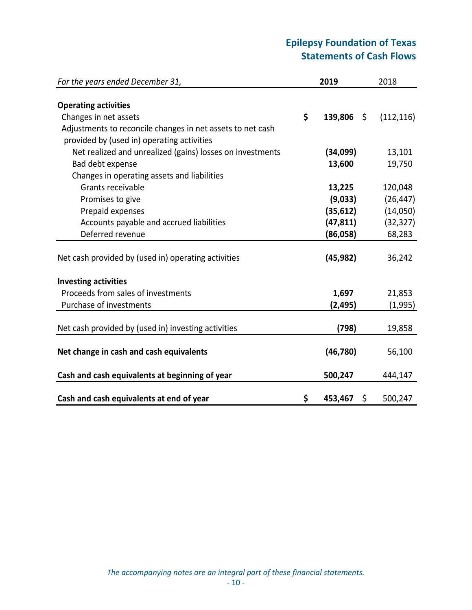## **Epilepsy Foundation of Texas Statements of Cash Flows**

| For the years ended December 31,                           | 2019                | 2018       |
|------------------------------------------------------------|---------------------|------------|
|                                                            |                     |            |
| <b>Operating activities</b>                                |                     |            |
| Changes in net assets                                      | \$<br>$139,806$ \$  | (112, 116) |
| Adjustments to reconcile changes in net assets to net cash |                     |            |
| provided by (used in) operating activities                 |                     |            |
| Net realized and unrealized (gains) losses on investments  | (34,099)            | 13,101     |
| Bad debt expense                                           | 13,600              | 19,750     |
| Changes in operating assets and liabilities                |                     |            |
| Grants receivable                                          | 13,225              | 120,048    |
| Promises to give                                           | (9,033)             | (26, 447)  |
| Prepaid expenses                                           | (35, 612)           | (14,050)   |
| Accounts payable and accrued liabilities                   | (47, 811)           | (32, 327)  |
| Deferred revenue                                           | (86,058)            | 68,283     |
|                                                            |                     |            |
| Net cash provided by (used in) operating activities        | (45, 982)           | 36,242     |
| <b>Investing activities</b>                                |                     |            |
| Proceeds from sales of investments                         | 1,697               | 21,853     |
| Purchase of investments                                    | (2, 495)            | (1,995)    |
|                                                            |                     |            |
| Net cash provided by (used in) investing activities        | (798)               | 19,858     |
|                                                            |                     |            |
| Net change in cash and cash equivalents                    | (46, 780)           | 56,100     |
| Cash and cash equivalents at beginning of year             | 500,247             | 444,147    |
|                                                            |                     |            |
| Cash and cash equivalents at end of year                   | \$<br>453,467<br>\$ | 500,247    |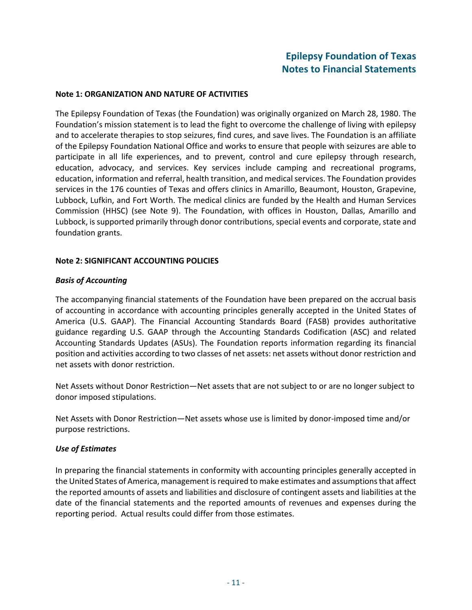#### **Note 1: ORGANIZATION AND NATURE OF ACTIVITIES**

The Epilepsy Foundation of Texas (the Foundation) was originally organized on March 28, 1980. The Foundation's mission statement is to lead the fight to overcome the challenge of living with epilepsy and to accelerate therapies to stop seizures, find cures, and save lives. The Foundation is an affiliate of the Epilepsy Foundation National Office and works to ensure that people with seizures are able to participate in all life experiences, and to prevent, control and cure epilepsy through research, education, advocacy, and services. Key services include camping and recreational programs, education, information and referral, health transition, and medical services. The Foundation provides services in the 176 counties of Texas and offers clinics in Amarillo, Beaumont, Houston, Grapevine, Lubbock, Lufkin, and Fort Worth. The medical clinics are funded by the Health and Human Services Commission (HHSC) (see Note 9). The Foundation, with offices in Houston, Dallas, Amarillo and Lubbock, is supported primarily through donor contributions, special events and corporate, state and foundation grants.

### **Note 2: SIGNIFICANT ACCOUNTING POLICIES**

### *Basis of Accounting*

The accompanying financial statements of the Foundation have been prepared on the accrual basis of accounting in accordance with accounting principles generally accepted in the United States of America (U.S. GAAP). The Financial Accounting Standards Board (FASB) provides authoritative guidance regarding U.S. GAAP through the Accounting Standards Codification (ASC) and related Accounting Standards Updates (ASUs). The Foundation reports information regarding its financial position and activities according to two classes of net assets: net assets without donor restriction and net assets with donor restriction.

Net Assets without Donor Restriction—Net assets that are not subject to or are no longer subject to donor imposed stipulations.

Net Assets with Donor Restriction—Net assets whose use is limited by donor-imposed time and/or purpose restrictions.

### *Use of Estimates*

In preparing the financial statements in conformity with accounting principles generally accepted in the United States of America, management is required to make estimates and assumptions that affect the reported amounts of assets and liabilities and disclosure of contingent assets and liabilities at the date of the financial statements and the reported amounts of revenues and expenses during the reporting period. Actual results could differ from those estimates.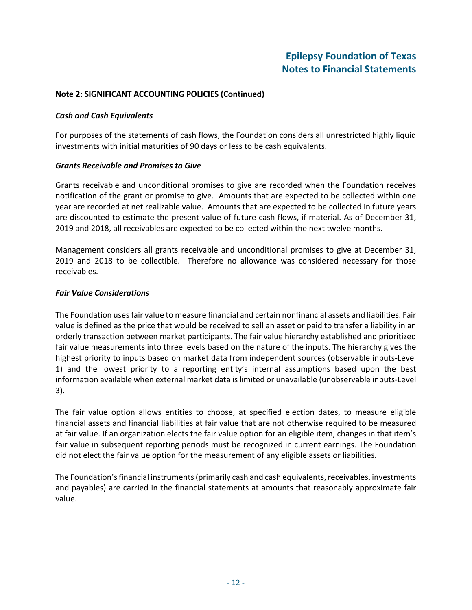### **Note 2: SIGNIFICANT ACCOUNTING POLICIES (Continued)**

#### *Cash and Cash Equivalents*

For purposes of the statements of cash flows, the Foundation considers all unrestricted highly liquid investments with initial maturities of 90 days or less to be cash equivalents.

#### *Grants Receivable and Promises to Give*

Grants receivable and unconditional promises to give are recorded when the Foundation receives notification of the grant or promise to give. Amounts that are expected to be collected within one year are recorded at net realizable value. Amounts that are expected to be collected in future years are discounted to estimate the present value of future cash flows, if material. As of December 31, 2019 and 2018, all receivables are expected to be collected within the next twelve months.

Management considers all grants receivable and unconditional promises to give at December 31, 2019 and 2018 to be collectible. Therefore no allowance was considered necessary for those receivables.

### *Fair Value Considerations*

The Foundation uses fair value to measure financial and certain nonfinancial assets and liabilities. Fair value is defined as the price that would be received to sell an asset or paid to transfer a liability in an orderly transaction between market participants. The fair value hierarchy established and prioritized fair value measurements into three levels based on the nature of the inputs. The hierarchy gives the highest priority to inputs based on market data from independent sources (observable inputs‐Level 1) and the lowest priority to a reporting entity's internal assumptions based upon the best information available when external market data is limited or unavailable (unobservable inputs‐Level 3).

The fair value option allows entities to choose, at specified election dates, to measure eligible financial assets and financial liabilities at fair value that are not otherwise required to be measured at fair value. If an organization elects the fair value option for an eligible item, changes in that item's fair value in subsequent reporting periods must be recognized in current earnings. The Foundation did not elect the fair value option for the measurement of any eligible assets or liabilities.

The Foundation's financial instruments (primarily cash and cash equivalents, receivables, investments and payables) are carried in the financial statements at amounts that reasonably approximate fair value.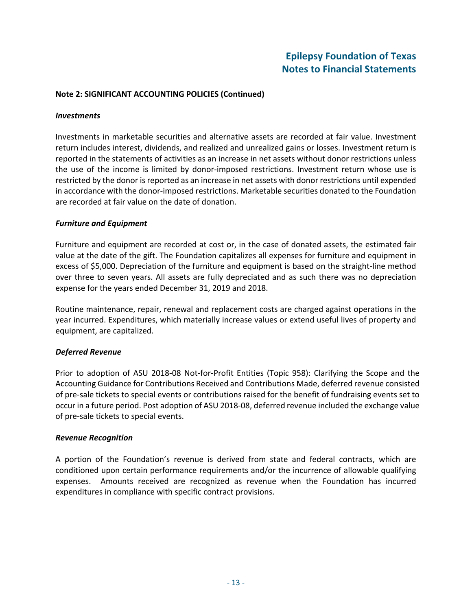### **Note 2: SIGNIFICANT ACCOUNTING POLICIES (Continued)**

#### *Investments*

Investments in marketable securities and alternative assets are recorded at fair value. Investment return includes interest, dividends, and realized and unrealized gains or losses. Investment return is reported in the statements of activities as an increase in net assets without donor restrictions unless the use of the income is limited by donor-imposed restrictions. Investment return whose use is restricted by the donor is reported as an increase in net assets with donor restrictions until expended in accordance with the donor-imposed restrictions. Marketable securities donated to the Foundation are recorded at fair value on the date of donation.

#### *Furniture and Equipment*

Furniture and equipment are recorded at cost or, in the case of donated assets, the estimated fair value at the date of the gift. The Foundation capitalizes all expenses for furniture and equipment in excess of \$5,000. Depreciation of the furniture and equipment is based on the straight-line method over three to seven years. All assets are fully depreciated and as such there was no depreciation expense for the years ended December 31, 2019 and 2018.

Routine maintenance, repair, renewal and replacement costs are charged against operations in the year incurred. Expenditures, which materially increase values or extend useful lives of property and equipment, are capitalized.

#### *Deferred Revenue*

Prior to adoption of ASU 2018‐08 Not‐for‐Profit Entities (Topic 958): Clarifying the Scope and the Accounting Guidance for Contributions Received and Contributions Made, deferred revenue consisted of pre‐sale tickets to special events or contributions raised for the benefit of fundraising events set to occur in a future period. Post adoption of ASU 2018‐08, deferred revenue included the exchange value of pre‐sale tickets to special events.

#### *Revenue Recognition*

A portion of the Foundation's revenue is derived from state and federal contracts, which are conditioned upon certain performance requirements and/or the incurrence of allowable qualifying expenses. Amounts received are recognized as revenue when the Foundation has incurred expenditures in compliance with specific contract provisions.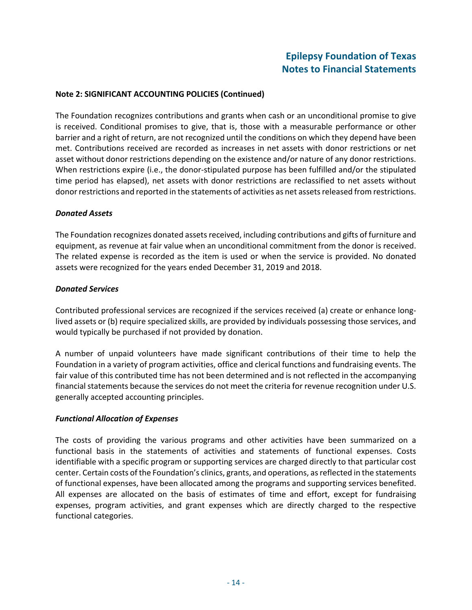### **Note 2: SIGNIFICANT ACCOUNTING POLICIES (Continued)**

The Foundation recognizes contributions and grants when cash or an unconditional promise to give is received. Conditional promises to give, that is, those with a measurable performance or other barrier and a right of return, are not recognized until the conditions on which they depend have been met. Contributions received are recorded as increases in net assets with donor restrictions or net asset without donor restrictions depending on the existence and/or nature of any donor restrictions. When restrictions expire (i.e., the donor-stipulated purpose has been fulfilled and/or the stipulated time period has elapsed), net assets with donor restrictions are reclassified to net assets without donor restrictions and reported in the statements of activities as net assets released from restrictions.

#### *Donated Assets*

The Foundation recognizes donated assets received, including contributions and gifts of furniture and equipment, as revenue at fair value when an unconditional commitment from the donor is received. The related expense is recorded as the item is used or when the service is provided. No donated assets were recognized for the years ended December 31, 2019 and 2018.

#### *Donated Services*

Contributed professional services are recognized if the services received (a) create or enhance long‐ lived assets or (b) require specialized skills, are provided by individuals possessing those services, and would typically be purchased if not provided by donation.

A number of unpaid volunteers have made significant contributions of their time to help the Foundation in a variety of program activities, office and clerical functions and fundraising events. The fair value of this contributed time has not been determined and is not reflected in the accompanying financial statements because the services do not meet the criteria for revenue recognition under U.S. generally accepted accounting principles.

#### *Functional Allocation of Expenses*

The costs of providing the various programs and other activities have been summarized on a functional basis in the statements of activities and statements of functional expenses. Costs identifiable with a specific program or supporting services are charged directly to that particular cost center. Certain costs of the Foundation's clinics, grants, and operations, as reflected in the statements of functional expenses, have been allocated among the programs and supporting services benefited. All expenses are allocated on the basis of estimates of time and effort, except for fundraising expenses, program activities, and grant expenses which are directly charged to the respective functional categories.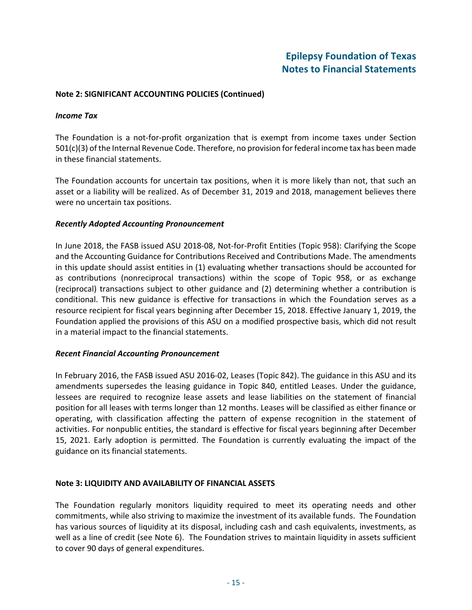### **Note 2: SIGNIFICANT ACCOUNTING POLICIES (Continued)**

#### *Income Tax*

The Foundation is a not-for-profit organization that is exempt from income taxes under Section 501(c)(3) of the Internal Revenue Code. Therefore, no provision for federal income tax has been made in these financial statements.

The Foundation accounts for uncertain tax positions, when it is more likely than not, that such an asset or a liability will be realized. As of December 31, 2019 and 2018, management believes there were no uncertain tax positions.

#### *Recently Adopted Accounting Pronouncement*

In June 2018, the FASB issued ASU 2018‐08, Not‐for‐Profit Entities (Topic 958): Clarifying the Scope and the Accounting Guidance for Contributions Received and Contributions Made. The amendments in this update should assist entities in (1) evaluating whether transactions should be accounted for as contributions (nonreciprocal transactions) within the scope of Topic 958, or as exchange (reciprocal) transactions subject to other guidance and (2) determining whether a contribution is conditional. This new guidance is effective for transactions in which the Foundation serves as a resource recipient for fiscal years beginning after December 15, 2018. Effective January 1, 2019, the Foundation applied the provisions of this ASU on a modified prospective basis, which did not result in a material impact to the financial statements.

#### *Recent Financial Accounting Pronouncement*

In February 2016, the FASB issued ASU 2016‐02, Leases (Topic 842). The guidance in this ASU and its amendments supersedes the leasing guidance in Topic 840, entitled Leases. Under the guidance, lessees are required to recognize lease assets and lease liabilities on the statement of financial position for all leases with terms longer than 12 months. Leases will be classified as either finance or operating, with classification affecting the pattern of expense recognition in the statement of activities. For nonpublic entities, the standard is effective for fiscal years beginning after December 15, 2021. Early adoption is permitted. The Foundation is currently evaluating the impact of the guidance on its financial statements.

#### **Note 3: LIQUIDITY AND AVAILABILITY OF FINANCIAL ASSETS**

The Foundation regularly monitors liquidity required to meet its operating needs and other commitments, while also striving to maximize the investment of its available funds. The Foundation has various sources of liquidity at its disposal, including cash and cash equivalents, investments, as well as a line of credit (see Note 6). The Foundation strives to maintain liquidity in assets sufficient to cover 90 days of general expenditures.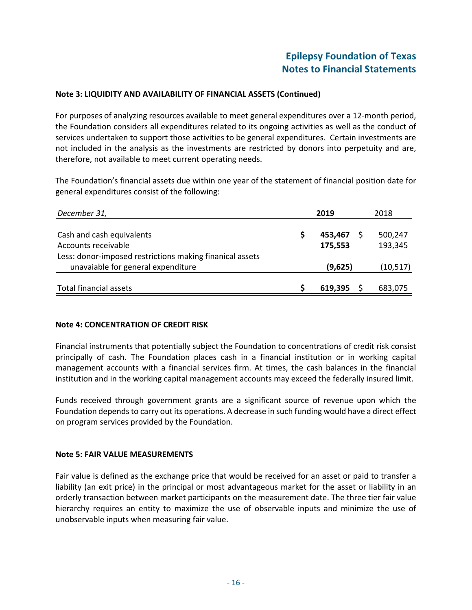### **Note 3: LIQUIDITY AND AVAILABILITY OF FINANCIAL ASSETS (Continued)**

For purposes of analyzing resources available to meet general expenditures over a 12‐month period, the Foundation considers all expenditures related to its ongoing activities as well as the conduct of services undertaken to support those activities to be general expenditures. Certain investments are not included in the analysis as the investments are restricted by donors into perpetuity and are, therefore, not available to meet current operating needs.

The Foundation's financial assets due within one year of the statement of financial position date for general expenditures consist of the following:

| December 31,                                                                                   | 2019                  | 2018               |
|------------------------------------------------------------------------------------------------|-----------------------|--------------------|
| Cash and cash equivalents<br>Accounts receivable                                               | 453,467 \$<br>175,553 | 500,247<br>193,345 |
| Less: donor-imposed restrictions making finanical assets<br>unavaiable for general expenditure | (9,625)               | (10, 517)          |
| Total financial assets                                                                         | 619.395               | 683,075            |

#### **Note 4: CONCENTRATION OF CREDIT RISK**

Financial instruments that potentially subject the Foundation to concentrations of credit risk consist principally of cash. The Foundation places cash in a financial institution or in working capital management accounts with a financial services firm. At times, the cash balances in the financial institution and in the working capital management accounts may exceed the federally insured limit.

Funds received through government grants are a significant source of revenue upon which the Foundation depends to carry out its operations. A decrease in such funding would have a direct effect on program services provided by the Foundation.

### **Note 5: FAIR VALUE MEASUREMENTS**

Fair value is defined as the exchange price that would be received for an asset or paid to transfer a liability (an exit price) in the principal or most advantageous market for the asset or liability in an orderly transaction between market participants on the measurement date. The three tier fair value hierarchy requires an entity to maximize the use of observable inputs and minimize the use of unobservable inputs when measuring fair value.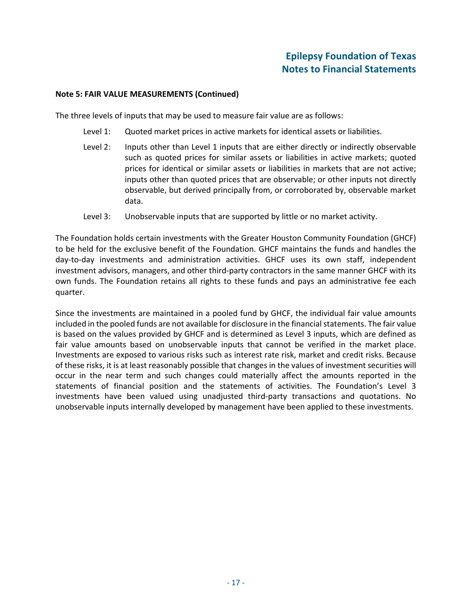### **Note 5: FAIR VALUE MEASUREMENTS (Continued)**

The three levels of inputs that may be used to measure fair value are as follows:

- Level 1: Quoted market prices in active markets for identical assets or liabilities.
- Level 2: Inputs other than Level 1 inputs that are either directly or indirectly observable such as quoted prices for similar assets or liabilities in active markets; quoted prices for identical or similar assets or liabilities in markets that are not active; inputs other than quoted prices that are observable; or other inputs not directly observable, but derived principally from, or corroborated by, observable market data.
- Level 3: Unobservable inputs that are supported by little or no market activity.

The Foundation holds certain investments with the Greater Houston Community Foundation (GHCF) to be held for the exclusive benefit of the Foundation. GHCF maintains the funds and handles the day-to-day investments and administration activities. GHCF uses its own staff, independent investment advisors, managers, and other third-party contractors in the same manner GHCF with its own funds. The Foundation retains all rights to these funds and pays an administrative fee each quarter.

Since the investments are maintained in a pooled fund by GHCF, the individual fair value amounts included in the pooled funds are not available for disclosure in the financial statements. The fair value is based on the values provided by GHCF and is determined as Level 3 inputs, which are defined as fair value amounts based on unobservable inputs that cannot be verified in the market place. Investments are exposed to various risks such as interest rate risk, market and credit risks. Because of these risks, it is at least reasonably possible that changes in the values of investment securities will occur in the near term and such changes could materially affect the amounts reported in the statements of financial position and the statements of activities. The Foundation's Level 3 investments have been valued using unadjusted third-party transactions and quotations. No unobservable inputs internally developed by management have been applied to these investments.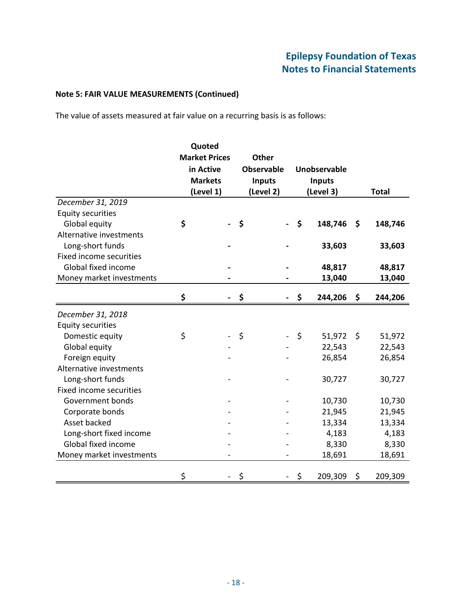### **Note 5: FAIR VALUE MEASUREMENTS (Continued)**

The value of assets measured at fair value on a recurring basis is as follows:

|                                | Quoted               |                   |    |                     |               |
|--------------------------------|----------------------|-------------------|----|---------------------|---------------|
|                                | <b>Market Prices</b> | <b>Other</b>      |    |                     |               |
|                                | in Active            | <b>Observable</b> |    | <b>Unobservable</b> |               |
|                                | <b>Markets</b>       | <b>Inputs</b>     |    | <b>Inputs</b>       |               |
|                                | (Level 1)            | (Level 2)         |    | (Level 3)           | <b>Total</b>  |
| December 31, 2019              |                      |                   |    |                     |               |
| <b>Equity securities</b>       |                      |                   |    |                     |               |
| Global equity                  | \$                   | \$                | \$ | 148,746             | \$<br>148,746 |
| Alternative investments        |                      |                   |    |                     |               |
| Long-short funds               |                      |                   |    | 33,603              | 33,603        |
| Fixed income securities        |                      |                   |    |                     |               |
| Global fixed income            |                      |                   |    | 48,817              | 48,817        |
| Money market investments       |                      |                   |    | 13,040              | 13,040        |
|                                | \$                   | \$                |    | 244,206             |               |
|                                |                      |                   | \$ |                     | \$<br>244,206 |
| December 31, 2018              |                      |                   |    |                     |               |
| <b>Equity securities</b>       |                      |                   |    |                     |               |
| Domestic equity                | \$                   | \$                | \$ | 51,972              | \$<br>51,972  |
| Global equity                  |                      |                   |    | 22,543              | 22,543        |
| Foreign equity                 |                      |                   |    | 26,854              | 26,854        |
| Alternative investments        |                      |                   |    |                     |               |
| Long-short funds               |                      |                   |    | 30,727              | 30,727        |
| <b>Fixed income securities</b> |                      |                   |    |                     |               |
| Government bonds               |                      |                   |    | 10,730              | 10,730        |
| Corporate bonds                |                      |                   |    | 21,945              | 21,945        |
| Asset backed                   |                      |                   |    | 13,334              | 13,334        |
| Long-short fixed income        |                      |                   |    | 4,183               | 4,183         |
| Global fixed income            |                      |                   |    | 8,330               | 8,330         |
| Money market investments       |                      |                   |    | 18,691              | 18,691        |
|                                |                      |                   |    |                     |               |
|                                | \$                   | \$                | \$ | 209,309             | \$<br>209,309 |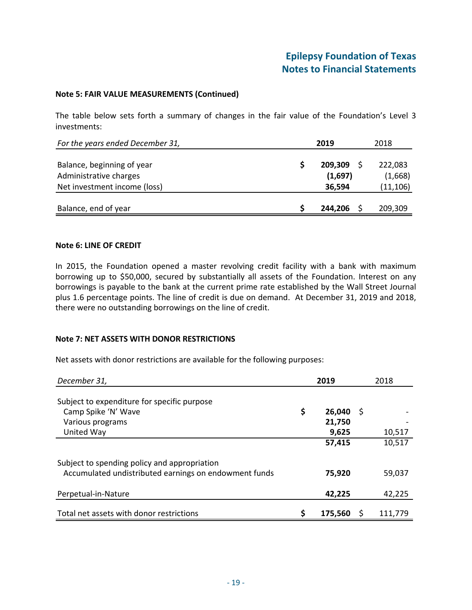#### **Note 5: FAIR VALUE MEASUREMENTS (Continued)**

The table below sets forth a summary of changes in the fair value of the Foundation's Level 3 investments:

| For the years ended December 31,                                                     | 2019                         | 2018                            |
|--------------------------------------------------------------------------------------|------------------------------|---------------------------------|
| Balance, beginning of year<br>Administrative charges<br>Net investment income (loss) | 209,309<br>(1,697)<br>36,594 | 222,083<br>(1,668)<br>(11, 106) |
| Balance, end of year                                                                 | 244,206                      | 209,309                         |

#### **Note 6: LINE OF CREDIT**

In 2015, the Foundation opened a master revolving credit facility with a bank with maximum borrowing up to \$50,000, secured by substantially all assets of the Foundation. Interest on any borrowings is payable to the bank at the current prime rate established by the Wall Street Journal plus 1.6 percentage points. The line of credit is due on demand. At December 31, 2019 and 2018, there were no outstanding borrowings on the line of credit.

#### **Note 7: NET ASSETS WITH DONOR RESTRICTIONS**

Net assets with donor restrictions are available for the following purposes:

| December 31,                                          | 2019          |     | 2018    |
|-------------------------------------------------------|---------------|-----|---------|
|                                                       |               |     |         |
| Subject to expenditure for specific purpose           |               |     |         |
| Camp Spike 'N' Wave                                   | \$<br>26,040  | - S |         |
| Various programs                                      | 21,750        |     |         |
| United Way                                            | 9,625         |     | 10,517  |
|                                                       | 57,415        |     | 10,517  |
| Subject to spending policy and appropriation          |               |     |         |
| Accumulated undistributed earnings on endowment funds | 75,920        |     | 59,037  |
| Perpetual-in-Nature                                   | 42,225        |     | 42,225  |
|                                                       |               |     |         |
| Total net assets with donor restrictions              | \$<br>175,560 |     | 111,779 |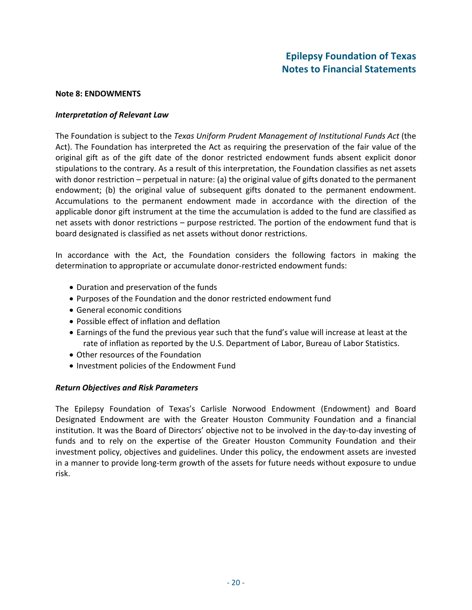#### **Note 8: ENDOWMENTS**

#### *Interpretation of Relevant Law*

The Foundation is subject to the *Texas Uniform Prudent Management of Institutional Funds Act* (the Act). The Foundation has interpreted the Act as requiring the preservation of the fair value of the original gift as of the gift date of the donor restricted endowment funds absent explicit donor stipulations to the contrary. As a result of this interpretation, the Foundation classifies as net assets with donor restriction – perpetual in nature: (a) the original value of gifts donated to the permanent endowment; (b) the original value of subsequent gifts donated to the permanent endowment. Accumulations to the permanent endowment made in accordance with the direction of the applicable donor gift instrument at the time the accumulation is added to the fund are classified as net assets with donor restrictions – purpose restricted. The portion of the endowment fund that is board designated is classified as net assets without donor restrictions.

In accordance with the Act, the Foundation considers the following factors in making the determination to appropriate or accumulate donor‐restricted endowment funds:

- Duration and preservation of the funds
- Purposes of the Foundation and the donor restricted endowment fund
- General economic conditions
- Possible effect of inflation and deflation
- Earnings of the fund the previous year such that the fund's value will increase at least at the rate of inflation as reported by the U.S. Department of Labor, Bureau of Labor Statistics.
- Other resources of the Foundation
- Investment policies of the Endowment Fund

#### *Return Objectives and Risk Parameters*

The Epilepsy Foundation of Texas's Carlisle Norwood Endowment (Endowment) and Board Designated Endowment are with the Greater Houston Community Foundation and a financial institution. It was the Board of Directors' objective not to be involved in the day‐to‐day investing of funds and to rely on the expertise of the Greater Houston Community Foundation and their investment policy, objectives and guidelines. Under this policy, the endowment assets are invested in a manner to provide long‐term growth of the assets for future needs without exposure to undue risk.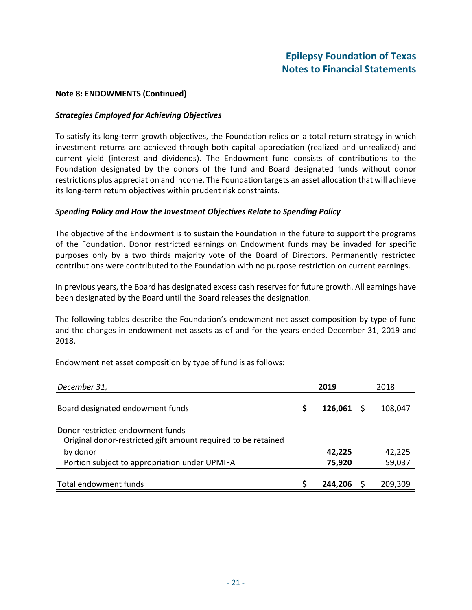#### **Note 8: ENDOWMENTS (Continued)**

#### *Strategies Employed for Achieving Objectives*

To satisfy its long‐term growth objectives, the Foundation relies on a total return strategy in which investment returns are achieved through both capital appreciation (realized and unrealized) and current yield (interest and dividends). The Endowment fund consists of contributions to the Foundation designated by the donors of the fund and Board designated funds without donor restrictions plus appreciation and income. The Foundation targets an asset allocation that will achieve its long-term return objectives within prudent risk constraints.

### *Spending Policy and How the Investment Objectives Relate to Spending Policy*

The objective of the Endowment is to sustain the Foundation in the future to support the programs of the Foundation. Donor restricted earnings on Endowment funds may be invaded for specific purposes only by a two thirds majority vote of the Board of Directors. Permanently restricted contributions were contributed to the Foundation with no purpose restriction on current earnings.

In previous years, the Board has designated excess cash reserves for future growth. All earnings have been designated by the Board until the Board releases the designation.

The following tables describe the Foundation's endowment net asset composition by type of fund and the changes in endowment net assets as of and for the years ended December 31, 2019 and 2018.

Endowment net asset composition by type of fund is as follows:

| December 31,                                                                                      |   | 2019         | 2018    |
|---------------------------------------------------------------------------------------------------|---|--------------|---------|
| Board designated endowment funds                                                                  | S | $126,061$ \$ | 108,047 |
| Donor restricted endowment funds<br>Original donor-restricted gift amount required to be retained |   |              |         |
| by donor                                                                                          |   | 42,225       | 42,225  |
| Portion subject to appropriation under UPMIFA                                                     |   | 75,920       | 59,037  |
| Total endowment funds                                                                             | S | 244.206      | 209,309 |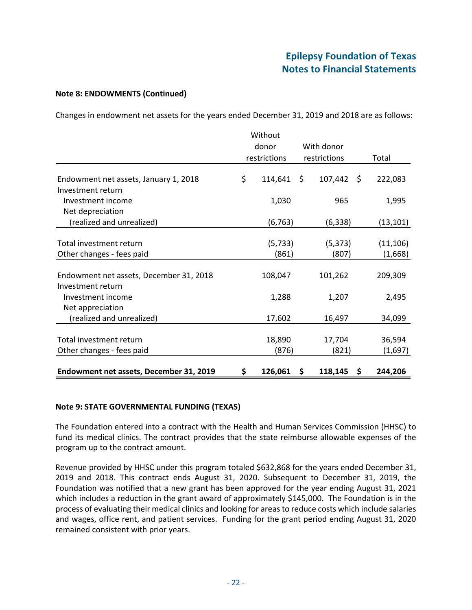#### **Note 8: ENDOWMENTS (Continued)**

Changes in endowment net assets for the years ended December 31, 2019 and 2018 are as follows:

|                                         |              | Without  |              |            |     |           |
|-----------------------------------------|--------------|----------|--------------|------------|-----|-----------|
|                                         | donor        |          |              | With donor |     |           |
|                                         | restrictions |          | restrictions |            |     | Total     |
|                                         |              |          |              |            |     |           |
| Endowment net assets, January 1, 2018   | \$           | 114,641  | \$           | 107,442    | \$. | 222,083   |
| Investment return                       |              |          |              |            |     |           |
| Investment income                       |              | 1,030    |              | 965        |     | 1,995     |
| Net depreciation                        |              |          |              |            |     |           |
| (realized and unrealized)               |              | (6, 763) |              | (6, 338)   |     | (13, 101) |
|                                         |              |          |              |            |     |           |
| Total investment return                 |              | (5, 733) |              | (5, 373)   |     | (11, 106) |
| Other changes - fees paid               |              | (861)    |              | (807)      |     | (1,668)   |
|                                         |              |          |              |            |     |           |
| Endowment net assets, December 31, 2018 |              | 108,047  |              | 101,262    |     | 209,309   |
| Investment return                       |              |          |              |            |     |           |
| Investment income                       |              | 1,288    |              | 1,207      |     | 2,495     |
| Net appreciation                        |              |          |              |            |     |           |
| (realized and unrealized)               |              | 17,602   |              | 16,497     |     | 34,099    |
|                                         |              |          |              |            |     |           |
| Total investment return                 |              | 18,890   |              | 17,704     |     | 36,594    |
| Other changes - fees paid               |              | (876)    |              | (821)      |     | (1,697)   |
|                                         |              |          |              |            |     |           |
| Endowment net assets, December 31, 2019 | \$           | 126,061  | \$           | 118,145    | \$  | 244,206   |

#### **Note 9: STATE GOVERNMENTAL FUNDING (TEXAS)**

The Foundation entered into a contract with the Health and Human Services Commission (HHSC) to fund its medical clinics. The contract provides that the state reimburse allowable expenses of the program up to the contract amount.

Revenue provided by HHSC under this program totaled \$632,868 for the years ended December 31, 2019 and 2018. This contract ends August 31, 2020. Subsequent to December 31, 2019, the Foundation was notified that a new grant has been approved for the year ending August 31, 2021 which includes a reduction in the grant award of approximately \$145,000. The Foundation is in the process of evaluating their medical clinics and looking for areas to reduce costs which include salaries and wages, office rent, and patient services. Funding for the grant period ending August 31, 2020 remained consistent with prior years.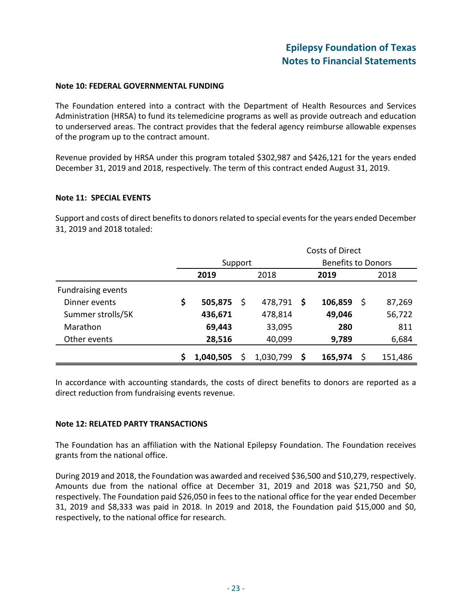#### **Note 10: FEDERAL GOVERNMENTAL FUNDING**

The Foundation entered into a contract with the Department of Health Resources and Services Administration (HRSA) to fund its telemedicine programs as well as provide outreach and education to underserved areas. The contract provides that the federal agency reimburse allowable expenses of the program up to the contract amount.

Revenue provided by HRSA under this program totaled \$302,987 and \$426,121 for the years ended December 31, 2019 and 2018, respectively. The term of this contract ended August 31, 2019.

#### **Note 11: SPECIAL EVENTS**

Support and costs of direct benefits to donors related to special events for the years ended December 31, 2019 and 2018 totaled:

|                           |    |           |    |           |                           | <b>Costs of Direct</b> |    |         |
|---------------------------|----|-----------|----|-----------|---------------------------|------------------------|----|---------|
|                           |    | Support   |    |           | <b>Benefits to Donors</b> |                        |    |         |
|                           |    | 2019      |    | 2018      |                           | 2019                   |    | 2018    |
| <b>Fundraising events</b> |    |           |    |           |                           |                        |    |         |
| Dinner events             | \$ | 505,875   | -S | 478,791   | - \$                      | 106,859                | \$ | 87,269  |
| Summer strolls/5K         |    | 436,671   |    | 478,814   |                           | 49,046                 |    | 56,722  |
| Marathon                  |    | 69,443    |    | 33,095    |                           | 280                    |    | 811     |
| Other events              |    | 28,516    |    | 40,099    |                           | 9,789                  |    | 6,684   |
|                           | Ś  | 1,040,505 |    | 1,030,799 |                           | 165,974                | S  | 151,486 |

In accordance with accounting standards, the costs of direct benefits to donors are reported as a direct reduction from fundraising events revenue.

#### **Note 12: RELATED PARTY TRANSACTIONS**

The Foundation has an affiliation with the National Epilepsy Foundation. The Foundation receives grants from the national office.

During 2019 and 2018, the Foundation was awarded and received \$36,500 and \$10,279, respectively. Amounts due from the national office at December 31, 2019 and 2018 was \$21,750 and \$0, respectively. The Foundation paid \$26,050 in fees to the national office for the year ended December 31, 2019 and \$8,333 was paid in 2018. In 2019 and 2018, the Foundation paid \$15,000 and \$0, respectively, to the national office for research.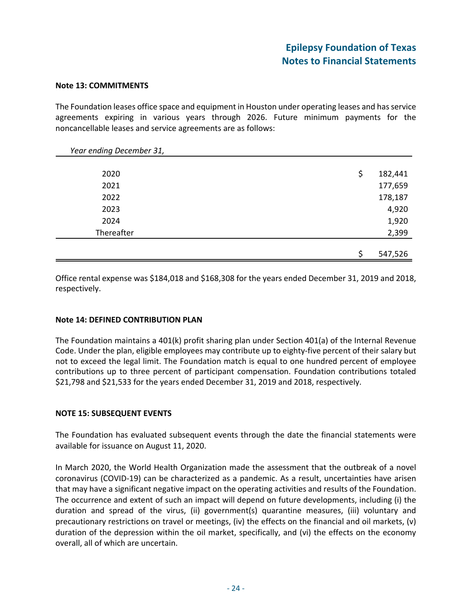#### **Note 13: COMMITMENTS**

The Foundation leases office space and equipment in Houston under operating leases and has service agreements expiring in various years through 2026. Future minimum payments for the noncancellable leases and service agreements are as follows:

| Year ending December 31, |    |         |
|--------------------------|----|---------|
|                          |    |         |
| 2020                     | \$ | 182,441 |
| 2021                     |    | 177,659 |
| 2022                     |    | 178,187 |
| 2023                     |    | 4,920   |
| 2024                     |    | 1,920   |
| Thereafter               |    | 2,399   |
|                          |    |         |
|                          | S  | 547,526 |

Office rental expense was \$184,018 and \$168,308 for the years ended December 31, 2019 and 2018, respectively.

#### **Note 14: DEFINED CONTRIBUTION PLAN**

The Foundation maintains a 401(k) profit sharing plan under Section 401(a) of the Internal Revenue Code. Under the plan, eligible employees may contribute up to eighty-five percent of their salary but not to exceed the legal limit. The Foundation match is equal to one hundred percent of employee contributions up to three percent of participant compensation. Foundation contributions totaled \$21,798 and \$21,533 for the years ended December 31, 2019 and 2018, respectively.

#### **NOTE 15: SUBSEQUENT EVENTS**

The Foundation has evaluated subsequent events through the date the financial statements were available for issuance on August 11, 2020.

In March 2020, the World Health Organization made the assessment that the outbreak of a novel coronavirus (COVID‐19) can be characterized as a pandemic. As a result, uncertainties have arisen that may have a significant negative impact on the operating activities and results of the Foundation. The occurrence and extent of such an impact will depend on future developments, including (i) the duration and spread of the virus, (ii) government(s) quarantine measures, (iii) voluntary and precautionary restrictions on travel or meetings, (iv) the effects on the financial and oil markets, (v) duration of the depression within the oil market, specifically, and (vi) the effects on the economy overall, all of which are uncertain.